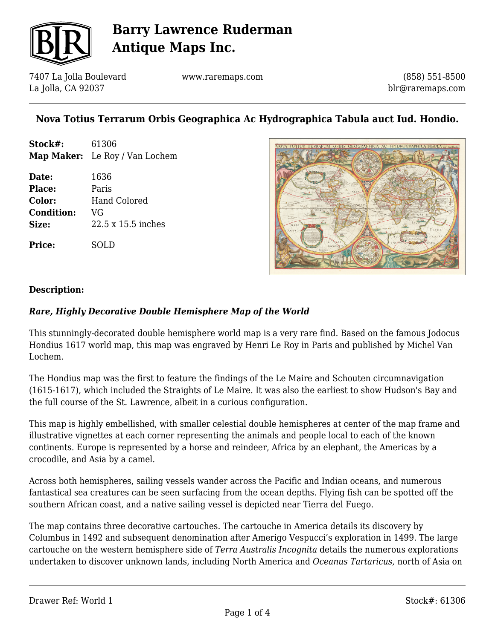

7407 La Jolla Boulevard La Jolla, CA 92037

www.raremaps.com

(858) 551-8500 blr@raremaps.com

## **Nova Totius Terrarum Orbis Geographica Ac Hydrographica Tabula auct Iud. Hondio.**

| Stock#:           | 61306                          |
|-------------------|--------------------------------|
|                   | Map Maker: Le Roy / Van Lochem |
| Date:             | 1636                           |
| Place:            | Paris                          |
| Color:            | Hand Colored                   |
| <b>Condition:</b> | VG                             |
| Size:             | $22.5 \times 15.5$ inches      |
| Price:            | .D                             |



### **Description:**

### *Rare, Highly Decorative Double Hemisphere Map of the World*

This stunningly-decorated double hemisphere world map is a very rare find. Based on the famous Jodocus Hondius 1617 world map, this map was engraved by Henri Le Roy in Paris and published by Michel Van Lochem.

The Hondius map was the first to feature the findings of the Le Maire and Schouten circumnavigation (1615-1617), which included the Straights of Le Maire. It was also the earliest to show Hudson's Bay and the full course of the St. Lawrence, albeit in a curious configuration.

This map is highly embellished, with smaller celestial double hemispheres at center of the map frame and illustrative vignettes at each corner representing the animals and people local to each of the known continents. Europe is represented by a horse and reindeer, Africa by an elephant, the Americas by a crocodile, and Asia by a camel.

Across both hemispheres, sailing vessels wander across the Pacific and Indian oceans, and numerous fantastical sea creatures can be seen surfacing from the ocean depths. Flying fish can be spotted off the southern African coast, and a native sailing vessel is depicted near Tierra del Fuego.

The map contains three decorative cartouches. The cartouche in America details its discovery by Columbus in 1492 and subsequent denomination after Amerigo Vespucci's exploration in 1499. The large cartouche on the western hemisphere side of *Terra Australis Incognita* details the numerous explorations undertaken to discover unknown lands, including North America and *Oceanus Tartaricus,* north of Asia on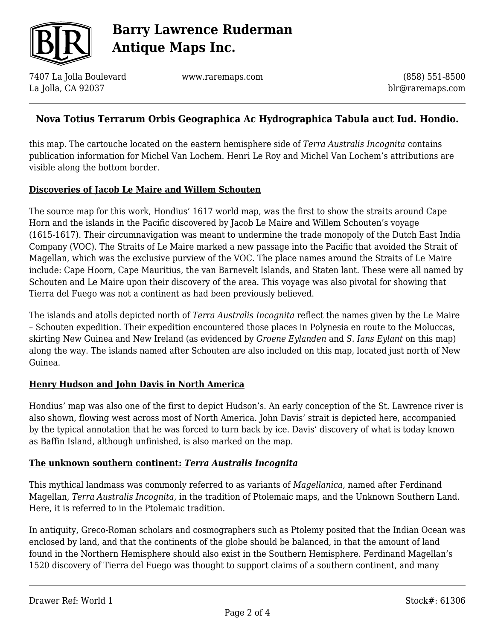

7407 La Jolla Boulevard La Jolla, CA 92037

www.raremaps.com

(858) 551-8500 blr@raremaps.com

## **Nova Totius Terrarum Orbis Geographica Ac Hydrographica Tabula auct Iud. Hondio.**

this map. The cartouche located on the eastern hemisphere side of *Terra Australis Incognita* contains publication information for Michel Van Lochem. Henri Le Roy and Michel Van Lochem's attributions are visible along the bottom border.

### **Discoveries of Jacob Le Maire and Willem Schouten**

The source map for this work, Hondius' 1617 world map, was the first to show the straits around Cape Horn and the islands in the Pacific discovered by Jacob Le Maire and Willem Schouten's voyage (1615-1617). Their circumnavigation was meant to undermine the trade monopoly of the Dutch East India Company (VOC). The Straits of Le Maire marked a new passage into the Pacific that avoided the Strait of Magellan, which was the exclusive purview of the VOC. The place names around the Straits of Le Maire include: Cape Hoorn, Cape Mauritius, the van Barnevelt Islands, and Staten lant. These were all named by Schouten and Le Maire upon their discovery of the area. This voyage was also pivotal for showing that Tierra del Fuego was not a continent as had been previously believed.

The islands and atolls depicted north of *Terra Australis Incognita* reflect the names given by the Le Maire – Schouten expedition. Their expedition encountered those places in Polynesia en route to the Moluccas, skirting New Guinea and New Ireland (as evidenced by *Groene Eylanden* and *S. Ians Eylant* on this map) along the way. The islands named after Schouten are also included on this map, located just north of New Guinea.

### **Henry Hudson and John Davis in North America**

Hondius' map was also one of the first to depict Hudson's. An early conception of the St. Lawrence river is also shown, flowing west across most of North America. John Davis' strait is depicted here, accompanied by the typical annotation that he was forced to turn back by ice. Davis' discovery of what is today known as Baffin Island, although unfinished, is also marked on the map.

#### **The unknown southern continent:** *Terra Australis Incognita*

This mythical landmass was commonly referred to as variants of *Magellanica*, named after Ferdinand Magellan, *Terra Australis Incognita*, in the tradition of Ptolemaic maps, and the Unknown Southern Land. Here, it is referred to in the Ptolemaic tradition.

In antiquity, Greco-Roman scholars and cosmographers such as Ptolemy posited that the Indian Ocean was enclosed by land, and that the continents of the globe should be balanced, in that the amount of land found in the Northern Hemisphere should also exist in the Southern Hemisphere. Ferdinand Magellan's 1520 discovery of Tierra del Fuego was thought to support claims of a southern continent, and many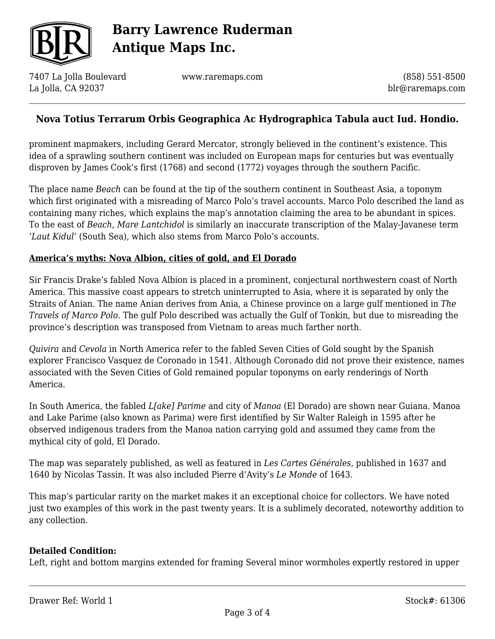

7407 La Jolla Boulevard La Jolla, CA 92037

www.raremaps.com

(858) 551-8500 blr@raremaps.com

## **Nova Totius Terrarum Orbis Geographica Ac Hydrographica Tabula auct Iud. Hondio.**

prominent mapmakers, including Gerard Mercator, strongly believed in the continent's existence. This idea of a sprawling southern continent was included on European maps for centuries but was eventually disproven by James Cook's first (1768) and second (1772) voyages through the southern Pacific.

The place name *Beach* can be found at the tip of the southern continent in Southeast Asia, a toponym which first originated with a misreading of Marco Polo's travel accounts. Marco Polo described the land as containing many riches, which explains the map's annotation claiming the area to be abundant in spices. To the east of *Beach*, *Mare Lantchidol* is similarly an inaccurate transcription of the Malay-Javanese term '*Laut Kidul'* (South Sea), which also stems from Marco Polo's accounts.

#### **America's myths: Nova Albion, cities of gold, and El Dorado**

Sir Francis Drake's fabled Nova Albion is placed in a prominent, conjectural northwestern coast of North America. This massive coast appears to stretch uninterrupted to Asia, where it is separated by only the Straits of Anian. The name Anian derives from Ania, a Chinese province on a large gulf mentioned in *The Travels of Marco Polo*. The gulf Polo described was actually the Gulf of Tonkin, but due to misreading the province's description was transposed from Vietnam to areas much farther north.

*Quivira* and *Cevola* in North America refer to the fabled Seven Cities of Gold sought by the Spanish explorer Francisco Vasquez de Coronado in 1541. Although Coronado did not prove their existence, names associated with the Seven Cities of Gold remained popular toponyms on early renderings of North America.

In South America, the fabled *L[ake] Parime* and city of *Manoa* (El Dorado) are shown near Guiana. Manoa and Lake Parime (also known as Parima) were first identified by Sir Walter Raleigh in 1595 after he observed indigenous traders from the Manoa nation carrying gold and assumed they came from the mythical city of gold, El Dorado.

The map was separately published, as well as featured in *Les Cartes Générales*, published in 1637 and 1640 by Nicolas Tassin. It was also included Pierre d'Avity's *Le Monde* of 1643.

This map's particular rarity on the market makes it an exceptional choice for collectors. We have noted just two examples of this work in the past twenty years. It is a sublimely decorated, noteworthy addition to any collection.

#### **Detailed Condition:**

Left, right and bottom margins extended for framing Several minor wormholes expertly restored in upper